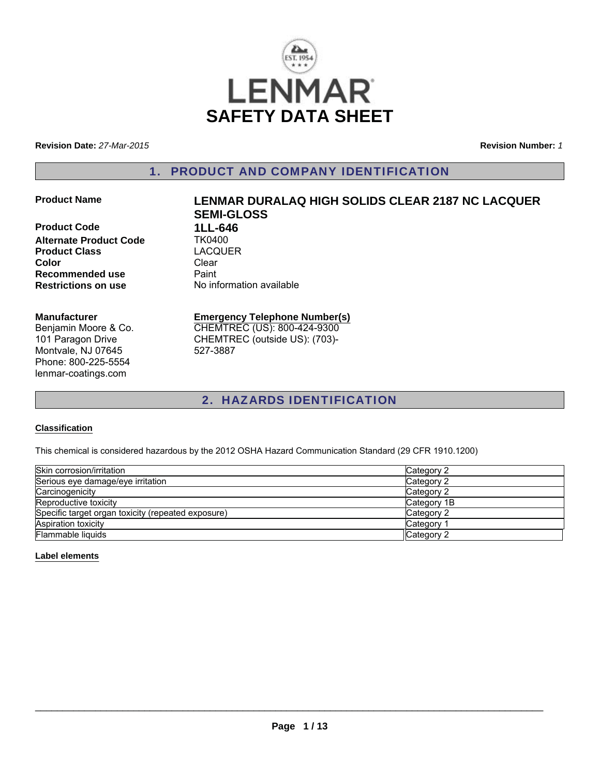

**Revision Date:** *27-Mar-2015*

**Revision Number:** *1*

### 1. PRODUCT AND COMPANY IDENTIFICATION

**Product Code 1LL-646**<br>Alternate Product Code TK0400 **Alternate Product Code Product Class** LACQUER **Color** Clear **Recommended use** Paint<br> **Restrictions on use** No inf

# **Product Name LENMAR DURALAQ HIGH SOLIDS CLEAR 2187 NC LACQUER SEMI-GLOSS No information available**

#### **Manufacturer**

Benjamin Moore & Co. 101 Paragon Drive Montvale, NJ 07645 Phone: 800-225-5554 lenmar-coatings.com

# **Emergency Telephone Number(s)** CHEMTREC (US): 800-424-9300

CHEMTREC (outside US): (703)- 527-3887

# 2. HAZARDS IDENTIFICATION

#### **Classification**

This chemical is considered hazardous by the 2012 OSHA Hazard Communication Standard (29 CFR 1910.1200)

| Skin corrosion/irritation                          | Category 2            |
|----------------------------------------------------|-----------------------|
| Serious eye damage/eye irritation                  | Category 2            |
| Carcinogenicity                                    | Category 2            |
| Reproductive toxicity                              | Category 1B           |
| Specific target organ toxicity (repeated exposure) | Category 2            |
| <b>Aspiration toxicity</b>                         | Category <sup>2</sup> |
| Flammable liquids                                  | Category 2            |

#### **Label elements**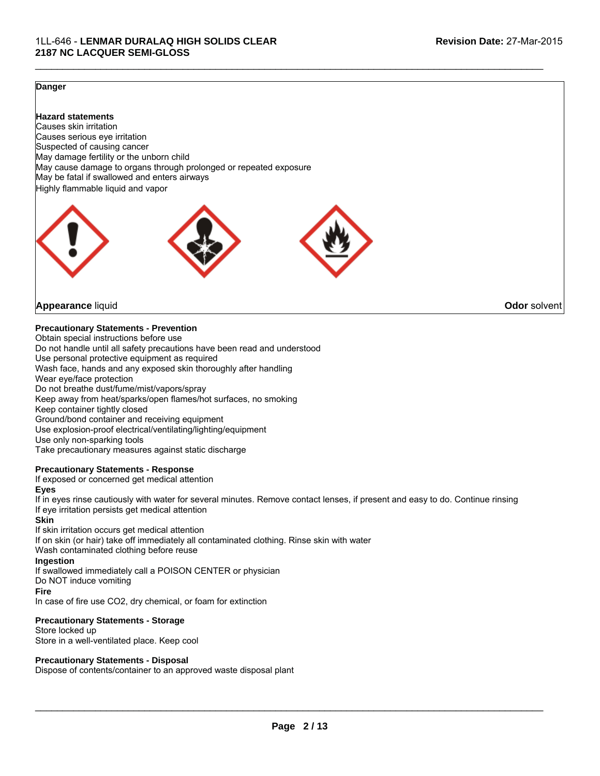#### **Danger**

**Hazard statements** Causes skin irritation Causes serious eye irritation Suspected of causing cancer May damage fertility or the unborn child May cause damage to organs through prolonged or repeated exposure May be fatal if swallowed and enters airways Highly flammable liquid and vapor



**Appearance** liquid **Odor** solvent

**Precautionary Statements - Prevention**

Obtain special instructions before use Do not handle until all safety precautions have been read and understood Use personal protective equipment as required Wash face, hands and any exposed skin thoroughly after handling Wear eye/face protection Do not breathe dust/fume/mist/vapors/spray Keep away from heat/sparks/open flames/hot surfaces, no smoking Keep container tightly closed Ground/bond container and receiving equipment Use explosion-proof electrical/ventilating/lighting/equipment Use only non-sparking tools Take precautionary measures against static discharge

#### **Precautionary Statements - Response**

If exposed or concerned get medical attention

#### **Eyes**

If in eyes rinse cautiously with water for several minutes. Remove contact lenses, if present and easy to do. Continue rinsing If eye irritation persists get medical attention

 $\mathcal{L}_\mathcal{L} = \{ \mathcal{L}_\mathcal{L} = \{ \mathcal{L}_\mathcal{L} = \{ \mathcal{L}_\mathcal{L} = \{ \mathcal{L}_\mathcal{L} = \{ \mathcal{L}_\mathcal{L} = \{ \mathcal{L}_\mathcal{L} = \{ \mathcal{L}_\mathcal{L} = \{ \mathcal{L}_\mathcal{L} = \{ \mathcal{L}_\mathcal{L} = \{ \mathcal{L}_\mathcal{L} = \{ \mathcal{L}_\mathcal{L} = \{ \mathcal{L}_\mathcal{L} = \{ \mathcal{L}_\mathcal{L} = \{ \mathcal{L}_\mathcal{$ 

#### **Skin**

If skin irritation occurs get medical attention If on skin (or hair) take off immediately all contaminated clothing. Rinse skin with water Wash contaminated clothing before reuse **Ingestion** If swallowed immediately call a POISON CENTER or physician Do NOT induce vomiting **Fire**

In case of fire use CO2, dry chemical, or foam for extinction

#### **Precautionary Statements - Storage**

Store locked up Store in a well-ventilated place. Keep cool

#### **Precautionary Statements - Disposal**

Dispose of contents/container to an approved waste disposal plant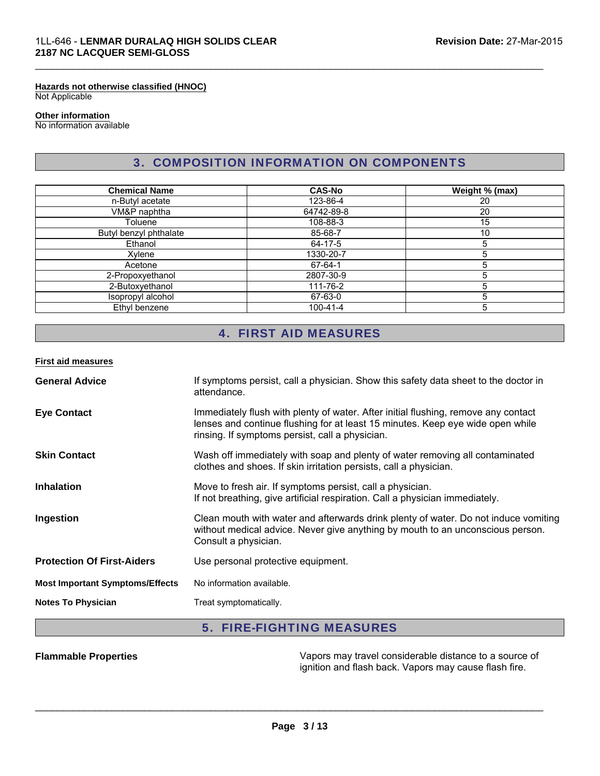#### **Hazards not otherwise classified (HNOC)** Not Applicable

#### **Other information**

No information available

# 3. COMPOSITION INFORMATION ON COMPONENTS

 $\mathcal{L}_\mathcal{L} = \{ \mathcal{L}_\mathcal{L} = \{ \mathcal{L}_\mathcal{L} = \{ \mathcal{L}_\mathcal{L} = \{ \mathcal{L}_\mathcal{L} = \{ \mathcal{L}_\mathcal{L} = \{ \mathcal{L}_\mathcal{L} = \{ \mathcal{L}_\mathcal{L} = \{ \mathcal{L}_\mathcal{L} = \{ \mathcal{L}_\mathcal{L} = \{ \mathcal{L}_\mathcal{L} = \{ \mathcal{L}_\mathcal{L} = \{ \mathcal{L}_\mathcal{L} = \{ \mathcal{L}_\mathcal{L} = \{ \mathcal{L}_\mathcal{$ 

| <b>Chemical Name</b>   | <b>CAS-No</b>  | Weight % (max) |
|------------------------|----------------|----------------|
| n-Butyl acetate        | 123-86-4       | 20             |
| VM&P naphtha           | 64742-89-8     | 20             |
| Toluene                | 108-88-3       | 15             |
| Butyl benzyl phthalate | 85-68-7        | 10             |
| Ethanol                | 64-17-5        | 5              |
| Xylene                 | 1330-20-7      | 5              |
| Acetone                | 67-64-1        | 5              |
| 2-Propoxyethanol       | 2807-30-9      | 5              |
| 2-Butoxyethanol        | 111-76-2       | 5              |
| Isopropyl alcohol      | 67-63-0        | 5              |
| Ethyl benzene          | $100 - 41 - 4$ | 5              |

# 4. FIRST AID MEASURES

#### **First aid measures**

| <b>General Advice</b>                  | If symptoms persist, call a physician. Show this safety data sheet to the doctor in<br>attendance.                                                                                                                      |
|----------------------------------------|-------------------------------------------------------------------------------------------------------------------------------------------------------------------------------------------------------------------------|
| <b>Eye Contact</b>                     | Immediately flush with plenty of water. After initial flushing, remove any contact<br>lenses and continue flushing for at least 15 minutes. Keep eye wide open while<br>rinsing. If symptoms persist, call a physician. |
| <b>Skin Contact</b>                    | Wash off immediately with soap and plenty of water removing all contaminated<br>clothes and shoes. If skin irritation persists, call a physician.                                                                       |
| <b>Inhalation</b>                      | Move to fresh air. If symptoms persist, call a physician.<br>If not breathing, give artificial respiration. Call a physician immediately.                                                                               |
| Ingestion                              | Clean mouth with water and afterwards drink plenty of water. Do not induce vomiting<br>without medical advice. Never give anything by mouth to an unconscious person.<br>Consult a physician.                           |
| <b>Protection Of First-Aiders</b>      | Use personal protective equipment.                                                                                                                                                                                      |
| <b>Most Important Symptoms/Effects</b> | No information available.                                                                                                                                                                                               |
| <b>Notes To Physician</b>              | Treat symptomatically.                                                                                                                                                                                                  |

## 5. FIRE-FIGHTING MEASURES

**Flammable Properties** Vapors may travel considerable distance to a source of ignition and flash back. Vapors may cause flash fire.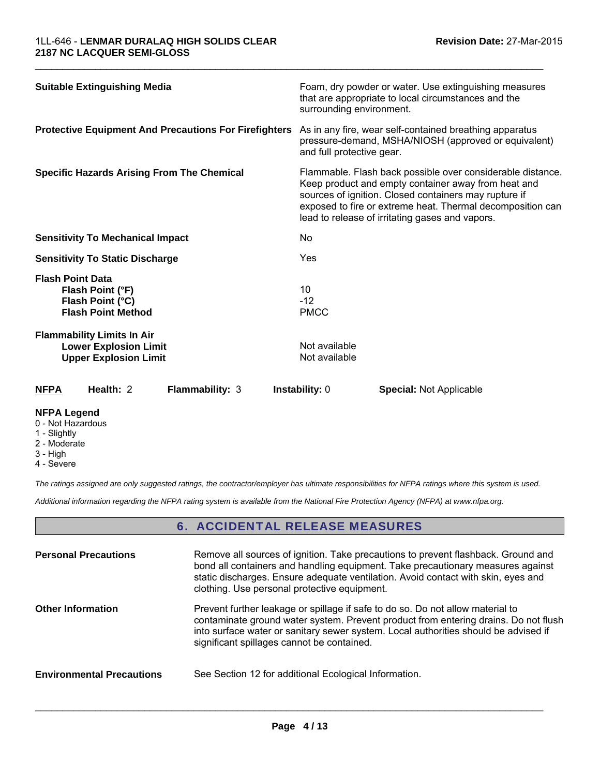| <b>Suitable Extinguishing Media</b>                                                               | Foam, dry powder or water. Use extinguishing measures<br>that are appropriate to local circumstances and the<br>surrounding environment.                                                                                                                                                    |
|---------------------------------------------------------------------------------------------------|---------------------------------------------------------------------------------------------------------------------------------------------------------------------------------------------------------------------------------------------------------------------------------------------|
| <b>Protective Equipment And Precautions For Firefighters</b>                                      | As in any fire, wear self-contained breathing apparatus<br>pressure-demand, MSHA/NIOSH (approved or equivalent)<br>and full protective gear.                                                                                                                                                |
| <b>Specific Hazards Arising From The Chemical</b>                                                 | Flammable. Flash back possible over considerable distance.<br>Keep product and empty container away from heat and<br>sources of ignition. Closed containers may rupture if<br>exposed to fire or extreme heat. Thermal decomposition can<br>lead to release of irritating gases and vapors. |
| <b>Sensitivity To Mechanical Impact</b>                                                           | <b>No</b>                                                                                                                                                                                                                                                                                   |
| <b>Sensitivity To Static Discharge</b>                                                            | Yes                                                                                                                                                                                                                                                                                         |
| <b>Flash Point Data</b><br>Flash Point (°F)<br>Flash Point (°C)<br><b>Flash Point Method</b>      | 10<br>$-12$<br><b>PMCC</b>                                                                                                                                                                                                                                                                  |
| <b>Flammability Limits In Air</b><br><b>Lower Explosion Limit</b><br><b>Upper Explosion Limit</b> | Not available<br>Not available                                                                                                                                                                                                                                                              |
| Health: 2<br><b>Flammability: 3</b><br><b>NFPA</b>                                                | <b>Instability: 0</b><br><b>Special: Not Applicable</b>                                                                                                                                                                                                                                     |

 $\mathcal{L}_\mathcal{L} = \{ \mathcal{L}_\mathcal{L} = \{ \mathcal{L}_\mathcal{L} = \{ \mathcal{L}_\mathcal{L} = \{ \mathcal{L}_\mathcal{L} = \{ \mathcal{L}_\mathcal{L} = \{ \mathcal{L}_\mathcal{L} = \{ \mathcal{L}_\mathcal{L} = \{ \mathcal{L}_\mathcal{L} = \{ \mathcal{L}_\mathcal{L} = \{ \mathcal{L}_\mathcal{L} = \{ \mathcal{L}_\mathcal{L} = \{ \mathcal{L}_\mathcal{L} = \{ \mathcal{L}_\mathcal{L} = \{ \mathcal{L}_\mathcal{$ 

#### **NFPA Legend**

- 0 Not Hazardous
- 1 Slightly
- 2 Moderate
- 3 High
- 4 Severe

*The ratings assigned are only suggested ratings, the contractor/employer has ultimate responsibilities for NFPA ratings where this system is used.*

*Additional information regarding the NFPA rating system is available from the National Fire Protection Agency (NFPA) at www.nfpa.org.*

### 6. ACCIDENTAL RELEASE MEASURES

| <b>Personal Precautions</b>      | Remove all sources of ignition. Take precautions to prevent flashback. Ground and<br>bond all containers and handling equipment. Take precautionary measures against<br>static discharges. Ensure adequate ventilation. Avoid contact with skin, eyes and<br>clothing. Use personal protective equipment.  |
|----------------------------------|------------------------------------------------------------------------------------------------------------------------------------------------------------------------------------------------------------------------------------------------------------------------------------------------------------|
| <b>Other Information</b>         | Prevent further leakage or spillage if safe to do so. Do not allow material to<br>contaminate ground water system. Prevent product from entering drains. Do not flush<br>into surface water or sanitary sewer system. Local authorities should be advised if<br>significant spillages cannot be contained. |
| <b>Environmental Precautions</b> | See Section 12 for additional Ecological Information.                                                                                                                                                                                                                                                      |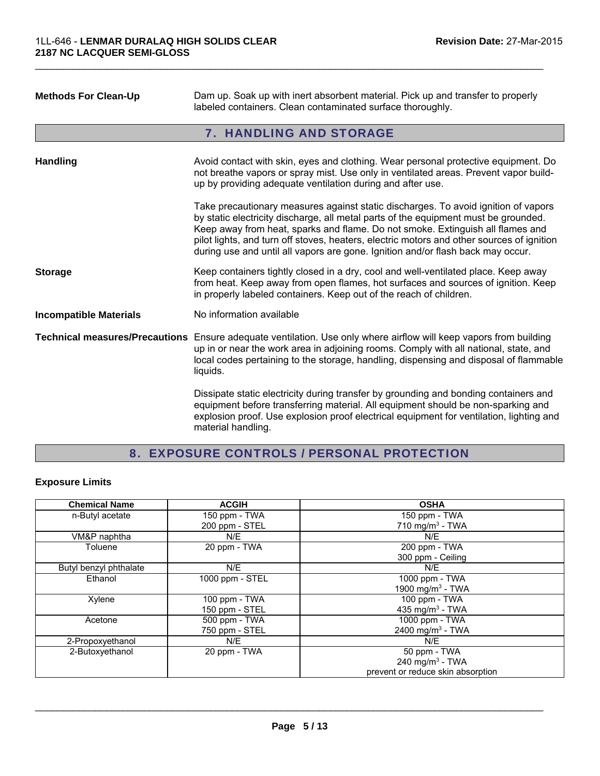| <b>Methods For Clean-Up</b>   | Dam up. Soak up with inert absorbent material. Pick up and transfer to properly<br>labeled containers. Clean contaminated surface thoroughly.                                                                                                                                                                                                                                                                                               |
|-------------------------------|---------------------------------------------------------------------------------------------------------------------------------------------------------------------------------------------------------------------------------------------------------------------------------------------------------------------------------------------------------------------------------------------------------------------------------------------|
|                               | 7. HANDLING AND STORAGE                                                                                                                                                                                                                                                                                                                                                                                                                     |
| <b>Handling</b>               | Avoid contact with skin, eyes and clothing. Wear personal protective equipment. Do<br>not breathe vapors or spray mist. Use only in ventilated areas. Prevent vapor build-<br>up by providing adequate ventilation during and after use.                                                                                                                                                                                                    |
|                               | Take precautionary measures against static discharges. To avoid ignition of vapors<br>by static electricity discharge, all metal parts of the equipment must be grounded.<br>Keep away from heat, sparks and flame. Do not smoke. Extinguish all flames and<br>pilot lights, and turn off stoves, heaters, electric motors and other sources of ignition<br>during use and until all vapors are gone. Ignition and/or flash back may occur. |
| <b>Storage</b>                | Keep containers tightly closed in a dry, cool and well-ventilated place. Keep away<br>from heat. Keep away from open flames, hot surfaces and sources of ignition. Keep<br>in properly labeled containers. Keep out of the reach of children.                                                                                                                                                                                               |
| <b>Incompatible Materials</b> | No information available                                                                                                                                                                                                                                                                                                                                                                                                                    |
|                               | Technical measures/Precautions Ensure adequate ventilation. Use only where airflow will keep vapors from building<br>up in or near the work area in adjoining rooms. Comply with all national, state, and<br>local codes pertaining to the storage, handling, dispensing and disposal of flammable<br>liquids.                                                                                                                              |
|                               | Dissipate static electricity during transfer by grounding and bonding containers and<br>equipment before transferring material. All equipment should be non-sparking and<br>explosion proof. Use explosion proof electrical equipment for ventilation, lighting and<br>material handling.                                                                                                                                                   |

 $\mathcal{L}_\mathcal{L} = \{ \mathcal{L}_\mathcal{L} = \{ \mathcal{L}_\mathcal{L} = \{ \mathcal{L}_\mathcal{L} = \{ \mathcal{L}_\mathcal{L} = \{ \mathcal{L}_\mathcal{L} = \{ \mathcal{L}_\mathcal{L} = \{ \mathcal{L}_\mathcal{L} = \{ \mathcal{L}_\mathcal{L} = \{ \mathcal{L}_\mathcal{L} = \{ \mathcal{L}_\mathcal{L} = \{ \mathcal{L}_\mathcal{L} = \{ \mathcal{L}_\mathcal{L} = \{ \mathcal{L}_\mathcal{L} = \{ \mathcal{L}_\mathcal{$ 

# 8. EXPOSURE CONTROLS / PERSONAL PROTECTION

# **Exposure Limits**

| <b>Chemical Name</b>   | <b>ACGIH</b>    | <b>OSHA</b>                       |
|------------------------|-----------------|-----------------------------------|
| n-Butyl acetate        | 150 ppm - TWA   | 150 ppm - TWA                     |
|                        | 200 ppm - STEL  | 710 mg/m <sup>3</sup> - TWA       |
| VM&P naphtha           | N/E             | N/E                               |
| Toluene                | 20 ppm - TWA    | 200 ppm - TWA                     |
|                        |                 | 300 ppm - Ceiling                 |
| Butyl benzyl phthalate | N/E             | N/E                               |
| Ethanol                | 1000 ppm - STEL | 1000 ppm - TWA                    |
|                        |                 | 1900 mg/m <sup>3</sup> - TWA      |
| Xylene                 | 100 ppm - TWA   | 100 ppm - TWA                     |
|                        | 150 ppm - STEL  | 435 mg/m <sup>3</sup> - TWA       |
| Acetone                | 500 ppm - TWA   | 1000 ppm - TWA                    |
|                        | 750 ppm - STEL  | 2400 mg/m $3$ - TWA               |
| 2-Propoxyethanol       | N/E             | N/E                               |
| 2-Butoxyethanol        | 20 ppm - TWA    | 50 ppm - TWA                      |
|                        |                 | 240 mg/m <sup>3</sup> - TWA       |
|                        |                 | prevent or reduce skin absorption |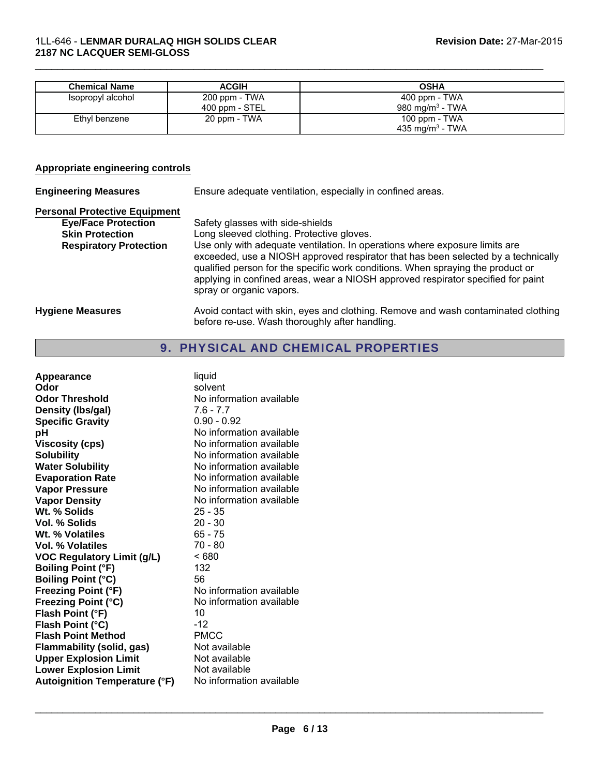| <b>Chemical Name</b> | <b>ACGIH</b>   | <b>OSHA</b>                 |
|----------------------|----------------|-----------------------------|
| Isopropyl alcohol    | 200 ppm - TWA  | 400 ppm - TWA               |
|                      | 400 ppm - STEL | 980 mg/m $3$ - TWA          |
| Ethyl benzene        | 20 ppm - TWA   | 100 ppm - $TWA$             |
|                      |                | 435 mg/m <sup>3</sup> - TWA |

 $\mathcal{L}_\mathcal{L} = \{ \mathcal{L}_\mathcal{L} = \{ \mathcal{L}_\mathcal{L} = \{ \mathcal{L}_\mathcal{L} = \{ \mathcal{L}_\mathcal{L} = \{ \mathcal{L}_\mathcal{L} = \{ \mathcal{L}_\mathcal{L} = \{ \mathcal{L}_\mathcal{L} = \{ \mathcal{L}_\mathcal{L} = \{ \mathcal{L}_\mathcal{L} = \{ \mathcal{L}_\mathcal{L} = \{ \mathcal{L}_\mathcal{L} = \{ \mathcal{L}_\mathcal{L} = \{ \mathcal{L}_\mathcal{L} = \{ \mathcal{L}_\mathcal{$ 

#### **Appropriate engineering controls**

| <b>Engineering Measures</b>                                                                                                   | Ensure adequate ventilation, especially in confined areas.                                                                                                                                                                                                                                                                                                                                                                                           |
|-------------------------------------------------------------------------------------------------------------------------------|------------------------------------------------------------------------------------------------------------------------------------------------------------------------------------------------------------------------------------------------------------------------------------------------------------------------------------------------------------------------------------------------------------------------------------------------------|
| <b>Personal Protective Equipment</b><br><b>Eye/Face Protection</b><br><b>Skin Protection</b><br><b>Respiratory Protection</b> | Safety glasses with side-shields<br>Long sleeved clothing. Protective gloves.<br>Use only with adequate ventilation. In operations where exposure limits are<br>exceeded, use a NIOSH approved respirator that has been selected by a technically<br>qualified person for the specific work conditions. When spraying the product or<br>applying in confined areas, wear a NIOSH approved respirator specified for paint<br>spray or organic vapors. |
| <b>Hygiene Measures</b>                                                                                                       | Avoid contact with skin, eyes and clothing. Remove and wash contaminated clothing<br>before re-use. Wash thoroughly after handling.                                                                                                                                                                                                                                                                                                                  |

# 9. PHYSICAL AND CHEMICAL PROPERTIES

| Appearance<br>Odor<br><b>Odor Threshold</b><br>Density (Ibs/gal)<br><b>Specific Gravity</b><br>рH<br>Viscosity (cps)<br><b>Solubility</b><br><b>Water Solubility</b> | liquid<br>solvent<br>No information available<br>$7.6 - 7.7$<br>$0.90 - 0.92$<br>No information available<br>No information available<br>No information available<br>No information available |
|----------------------------------------------------------------------------------------------------------------------------------------------------------------------|-----------------------------------------------------------------------------------------------------------------------------------------------------------------------------------------------|
| <b>Evaporation Rate</b>                                                                                                                                              | No information available                                                                                                                                                                      |
| <b>Vapor Pressure</b>                                                                                                                                                | No information available                                                                                                                                                                      |
| <b>Vapor Density</b>                                                                                                                                                 | No information available                                                                                                                                                                      |
| Wt. % Solids                                                                                                                                                         | 25 - 35                                                                                                                                                                                       |
| <b>Vol. % Solids</b>                                                                                                                                                 | $20 - 30$                                                                                                                                                                                     |
| Wt. % Volatiles                                                                                                                                                      | 65 - 75                                                                                                                                                                                       |
| <b>Vol. % Volatiles</b>                                                                                                                                              | 70 - 80                                                                                                                                                                                       |
| <b>VOC Regulatory Limit (g/L)</b>                                                                                                                                    | ~< 680                                                                                                                                                                                        |
| <b>Boiling Point (°F)</b>                                                                                                                                            | 132                                                                                                                                                                                           |
| <b>Boiling Point (°C)</b>                                                                                                                                            | 56                                                                                                                                                                                            |
| Freezing Point (°F)                                                                                                                                                  | No information available                                                                                                                                                                      |
| <b>Freezing Point (°C)</b>                                                                                                                                           | No information available                                                                                                                                                                      |
| Flash Point (°F)                                                                                                                                                     | 10                                                                                                                                                                                            |
| Flash Point (°C)                                                                                                                                                     | -12                                                                                                                                                                                           |
| <b>Flash Point Method</b>                                                                                                                                            | <b>PMCC</b>                                                                                                                                                                                   |
| Flammability (solid, gas)                                                                                                                                            | Not available                                                                                                                                                                                 |
| <b>Upper Explosion Limit</b>                                                                                                                                         | Not available                                                                                                                                                                                 |
| <b>Lower Explosion Limit</b>                                                                                                                                         | Not available                                                                                                                                                                                 |
| <b>Autoignition Temperature (°F)</b>                                                                                                                                 | No information available                                                                                                                                                                      |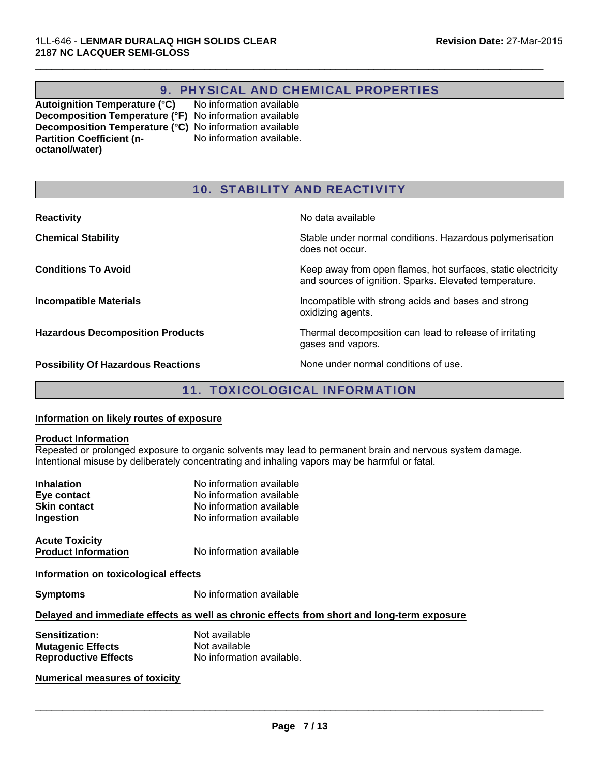# 9. PHYSICAL AND CHEMICAL PROPERTIES

 $\mathcal{L}_\mathcal{L} = \{ \mathcal{L}_\mathcal{L} = \{ \mathcal{L}_\mathcal{L} = \{ \mathcal{L}_\mathcal{L} = \{ \mathcal{L}_\mathcal{L} = \{ \mathcal{L}_\mathcal{L} = \{ \mathcal{L}_\mathcal{L} = \{ \mathcal{L}_\mathcal{L} = \{ \mathcal{L}_\mathcal{L} = \{ \mathcal{L}_\mathcal{L} = \{ \mathcal{L}_\mathcal{L} = \{ \mathcal{L}_\mathcal{L} = \{ \mathcal{L}_\mathcal{L} = \{ \mathcal{L}_\mathcal{L} = \{ \mathcal{L}_\mathcal{$ 

**Autoignition Temperature (°C)** No information available **Decomposition Temperature (°F)** No information available **Decomposition Temperature (°C)** No information available **Partition Coefficient (noctanol/water)** No information available.

# 10. STABILITY AND REACTIVITY

| <b>Reactivity</b>                         | No data available                                                                                                      |
|-------------------------------------------|------------------------------------------------------------------------------------------------------------------------|
| <b>Chemical Stability</b>                 | Stable under normal conditions. Hazardous polymerisation<br>does not occur.                                            |
| <b>Conditions To Avoid</b>                | Keep away from open flames, hot surfaces, static electricity<br>and sources of ignition. Sparks. Elevated temperature. |
| <b>Incompatible Materials</b>             | Incompatible with strong acids and bases and strong<br>oxidizing agents.                                               |
| <b>Hazardous Decomposition Products</b>   | Thermal decomposition can lead to release of irritating<br>gases and vapors.                                           |
| <b>Possibility Of Hazardous Reactions</b> | None under normal conditions of use.                                                                                   |

# 11. TOXICOLOGICAL INFORMATION

#### **Information on likely routes of exposure**

#### **Product Information**

Repeated or prolonged exposure to organic solvents may lead to permanent brain and nervous system damage. Intentional misuse by deliberately concentrating and inhaling vapors may be harmful or fatal.

| <b>Inhalation</b><br>Eye contact<br><b>Skin contact</b><br>Ingestion      | No information available<br>No information available<br>No information available<br>No information available |
|---------------------------------------------------------------------------|--------------------------------------------------------------------------------------------------------------|
|                                                                           |                                                                                                              |
| <b>Acute Toxicity</b><br><b>Product Information</b>                       | No information available                                                                                     |
| Information on toxicological effects                                      |                                                                                                              |
| <b>Symptoms</b>                                                           | No information available                                                                                     |
|                                                                           | Delayed and immediate effects as well as chronic effects from short and long-term exposure                   |
| Sensitization:<br><b>Mutagenic Effects</b><br><b>Reproductive Effects</b> | Not available<br>Not available<br>No information available.                                                  |
| <b>Numerical measures of toxicity</b>                                     |                                                                                                              |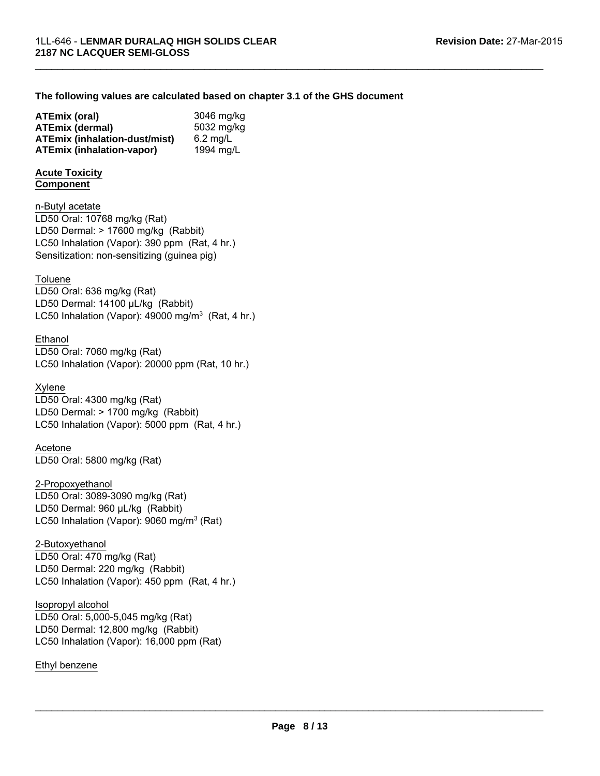#### **The following values are calculated based on chapter 3.1 of the GHS document**

 $\mathcal{L}_\mathcal{L} = \{ \mathcal{L}_\mathcal{L} = \{ \mathcal{L}_\mathcal{L} = \{ \mathcal{L}_\mathcal{L} = \{ \mathcal{L}_\mathcal{L} = \{ \mathcal{L}_\mathcal{L} = \{ \mathcal{L}_\mathcal{L} = \{ \mathcal{L}_\mathcal{L} = \{ \mathcal{L}_\mathcal{L} = \{ \mathcal{L}_\mathcal{L} = \{ \mathcal{L}_\mathcal{L} = \{ \mathcal{L}_\mathcal{L} = \{ \mathcal{L}_\mathcal{L} = \{ \mathcal{L}_\mathcal{L} = \{ \mathcal{L}_\mathcal{$ 

| ATEmix (oral)                        | 3046 mg/kg |
|--------------------------------------|------------|
| <b>ATEmix (dermal)</b>               | 5032 mg/kg |
| <b>ATEmix (inhalation-dust/mist)</b> | $6.2$ mg/L |
| ATEmix (inhalation-vapor)            | 1994 mg/L  |

#### **Acute Toxicity Component**

n-Butyl acetate LC50 Inhalation (Vapor): 390 ppm (Rat, 4 hr.) Sensitization: non-sensitizing (guinea pig) LD50 Oral: 10768 mg/kg (Rat) LD50 Dermal: > 17600 mg/kg (Rabbit)

#### **Toluene**

LC50 Inhalation (Vapor): 49000 mg/m<sup>3</sup> (Rat, 4 hr.) LD50 Oral: 636 mg/kg (Rat) LD50 Dermal: 14100 μL/kg (Rabbit)

#### Ethanol

LD50 Oral: 7060 mg/kg (Rat) LC50 Inhalation (Vapor): 20000 ppm (Rat, 10 hr.)

#### Xylene

LD50 Oral: 4300 mg/kg (Rat) LD50 Dermal: > 1700 mg/kg (Rabbit) LC50 Inhalation (Vapor): 5000 ppm (Rat, 4 hr.)

#### Acetone

LD50 Oral: 5800 mg/kg (Rat)

#### 2-Propoxyethanol

LD50 Oral: 3089-3090 mg/kg (Rat) LD50 Dermal: 960 μL/kg (Rabbit) LC50 Inhalation (Vapor): 9060 mg/m $3$  (Rat)

#### 2-Butoxyethanol

LD50 Oral: 470 mg/kg (Rat) LD50 Dermal: 220 mg/kg (Rabbit) LC50 Inhalation (Vapor): 450 ppm (Rat, 4 hr.)

#### Isopropyl alcohol

LD50 Oral: 5,000-5,045 mg/kg (Rat) LD50 Dermal: 12,800 mg/kg (Rabbit) LC50 Inhalation (Vapor): 16,000 ppm (Rat)

#### Ethyl benzene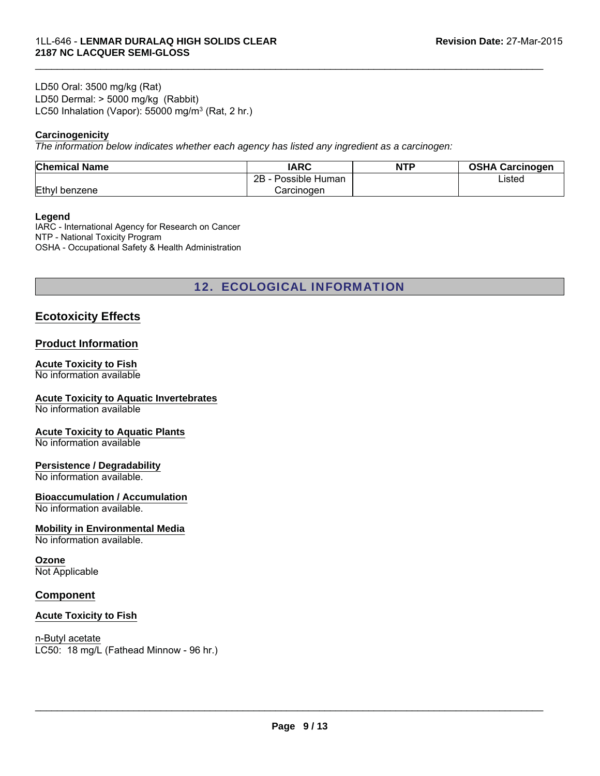LC50 Inhalation (Vapor): 55000 mg/m<sup>3</sup> (Rat, 2 hr.) LD50 Oral: 3500 mg/kg (Rat) LD50 Dermal: > 5000 mg/kg (Rabbit)

#### **Carcinogenicity**

*The information below indicates whether each agency has listed any ingredient as a carcinogen:*

| <b>Chemical Name</b> | <b>IARC</b>          | <b>NTP</b> | <b>OSHA Carcinogen</b> |
|----------------------|----------------------|------------|------------------------|
|                      | 2B<br>Possible Human |            | ∟isted                 |
| Ethyl benzene        | Carcinoɑen           |            |                        |

 $\mathcal{L}_\mathcal{L} = \{ \mathcal{L}_\mathcal{L} = \{ \mathcal{L}_\mathcal{L} = \{ \mathcal{L}_\mathcal{L} = \{ \mathcal{L}_\mathcal{L} = \{ \mathcal{L}_\mathcal{L} = \{ \mathcal{L}_\mathcal{L} = \{ \mathcal{L}_\mathcal{L} = \{ \mathcal{L}_\mathcal{L} = \{ \mathcal{L}_\mathcal{L} = \{ \mathcal{L}_\mathcal{L} = \{ \mathcal{L}_\mathcal{L} = \{ \mathcal{L}_\mathcal{L} = \{ \mathcal{L}_\mathcal{L} = \{ \mathcal{L}_\mathcal{$ 

#### **Legend**

IARC - International Agency for Research on Cancer NTP - National Toxicity Program OSHA - Occupational Safety & Health Administration

12. ECOLOGICAL INFORMATION

### **Ecotoxicity Effects**

#### **Product Information**

# **Acute Toxicity to Fish**

No information available

#### **Acute Toxicity to Aquatic Invertebrates**

No information available

#### **Acute Toxicity to Aquatic Plants**

No information available

#### **Persistence / Degradability**

No information available.

#### **Bioaccumulation / Accumulation**

No information available.

#### **Mobility in Environmental Media**

No information available.

#### **Ozone**

Not Applicable

#### **Component**

#### **Acute Toxicity to Fish**

LC50: 18 mg/L (Fathead Minnow - 96 hr.) n-Butyl acetate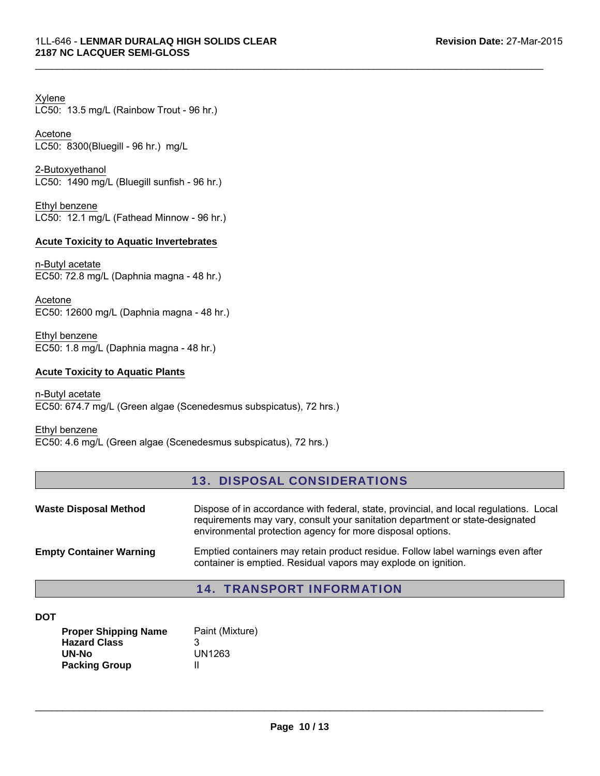Xylene LC50: 13.5 mg/L (Rainbow Trout - 96 hr.)

Acetone LC50: 8300(Bluegill - 96 hr.) mg/L

2-Butoxyethanol LC50: 1490 mg/L (Bluegill sunfish - 96 hr.)

Ethyl benzene LC50: 12.1 mg/L (Fathead Minnow - 96 hr.)

#### **Acute Toxicity to Aquatic Invertebrates**

n-Butyl acetate EC50: 72.8 mg/L (Daphnia magna - 48 hr.)

EC50: 12600 mg/L (Daphnia magna - 48 hr.) Acetone

Ethyl benzene EC50: 1.8 mg/L (Daphnia magna - 48 hr.)

#### **Acute Toxicity to Aquatic Plants**

n-Butyl acetate EC50: 674.7 mg/L (Green algae (Scenedesmus subspicatus), 72 hrs.)

Ethyl benzene EC50: 4.6 mg/L (Green algae (Scenedesmus subspicatus), 72 hrs.)

# 13. DISPOSAL CONSIDERATIONS

 $\mathcal{L}_\mathcal{L} = \{ \mathcal{L}_\mathcal{L} = \{ \mathcal{L}_\mathcal{L} = \{ \mathcal{L}_\mathcal{L} = \{ \mathcal{L}_\mathcal{L} = \{ \mathcal{L}_\mathcal{L} = \{ \mathcal{L}_\mathcal{L} = \{ \mathcal{L}_\mathcal{L} = \{ \mathcal{L}_\mathcal{L} = \{ \mathcal{L}_\mathcal{L} = \{ \mathcal{L}_\mathcal{L} = \{ \mathcal{L}_\mathcal{L} = \{ \mathcal{L}_\mathcal{L} = \{ \mathcal{L}_\mathcal{L} = \{ \mathcal{L}_\mathcal{$ 

| <b>Waste Disposal Method</b>   | Dispose of in accordance with federal, state, provincial, and local regulations. Local<br>requirements may vary, consult your sanitation department or state-designated<br>environmental protection agency for more disposal options. |
|--------------------------------|---------------------------------------------------------------------------------------------------------------------------------------------------------------------------------------------------------------------------------------|
| <b>Empty Container Warning</b> | Emptied containers may retain product residue. Follow label warnings even after<br>container is emptied. Residual vapors may explode on ignition.                                                                                     |

### 14. TRANSPORT INFORMATION

**DOT**

| <b>Proper Shipping Name</b> | Paint (Mixture) |
|-----------------------------|-----------------|
| <b>Hazard Class</b>         | З               |
| UN-No                       | UN1263          |
| <b>Packing Group</b>        | н               |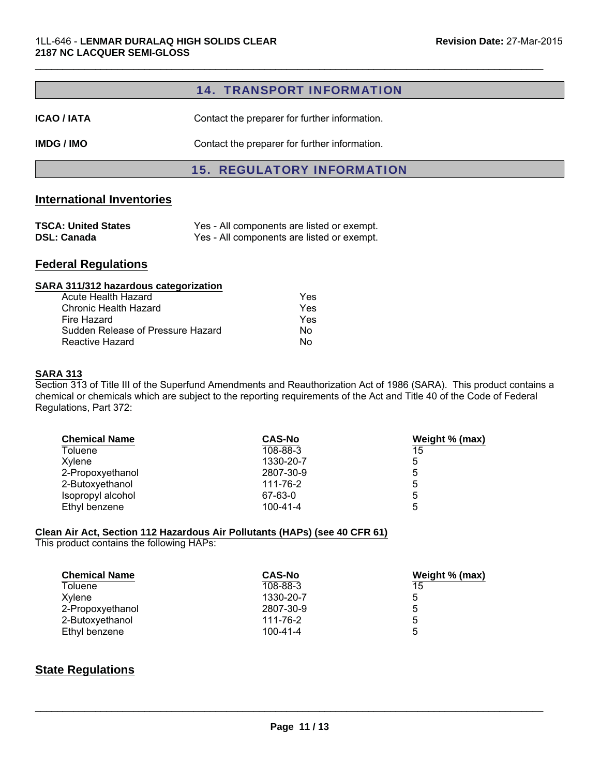#### 14. TRANSPORT INFORMATION

 $\mathcal{L}_\mathcal{L} = \{ \mathcal{L}_\mathcal{L} = \{ \mathcal{L}_\mathcal{L} = \{ \mathcal{L}_\mathcal{L} = \{ \mathcal{L}_\mathcal{L} = \{ \mathcal{L}_\mathcal{L} = \{ \mathcal{L}_\mathcal{L} = \{ \mathcal{L}_\mathcal{L} = \{ \mathcal{L}_\mathcal{L} = \{ \mathcal{L}_\mathcal{L} = \{ \mathcal{L}_\mathcal{L} = \{ \mathcal{L}_\mathcal{L} = \{ \mathcal{L}_\mathcal{L} = \{ \mathcal{L}_\mathcal{L} = \{ \mathcal{L}_\mathcal{$ 

**ICAO / IATA** Contact the preparer for further information.

**IMDG / IMO** Contact the preparer for further information.

#### 15. REGULATORY INFORMATION

#### **International Inventories**

| <b>TSCA: United States</b> | Yes - All components are listed or exempt. |
|----------------------------|--------------------------------------------|
| <b>DSL: Canada</b>         | Yes - All components are listed or exempt. |

#### **Federal Regulations**

# **SARA 311/312 hazardous categorization**

| Acute Health Hazard               | Yes |
|-----------------------------------|-----|
| Chronic Health Hazard             | Yes |
| Fire Hazard                       | Yes |
| Sudden Release of Pressure Hazard | Nο  |
| Reactive Hazard                   | N٥  |

#### **SARA 313**

Section 313 of Title III of the Superfund Amendments and Reauthorization Act of 1986 (SARA). This product contains a chemical or chemicals which are subject to the reporting requirements of the Act and Title 40 of the Code of Federal Regulations, Part 372:

| <b>Chemical Name</b> | <b>CAS-No</b> | Weight % (max) |
|----------------------|---------------|----------------|
| Toluene              | 108-88-3      | 15             |
| Xylene               | 1330-20-7     | 5              |
| 2-Propoxyethanol     | 2807-30-9     | 5              |
| 2-Butoxyethanol      | 111-76-2      | 5              |
| Isopropyl alcohol    | 67-63-0       | 5              |
| Ethyl benzene        | 100-41-4      | 5              |

#### **Clean Air Act, Section 112 Hazardous Air Pollutants (HAPs) (see 40 CFR 61)**

This product contains the following HAPs:

| <b>Chemical Name</b> | <b>CAS-No</b>  | Weight % (max) |
|----------------------|----------------|----------------|
| Toluene              | 108-88-3       | 15             |
| Xvlene               | 1330-20-7      | 5              |
| 2-Propoxyethanol     | 2807-30-9      | 5              |
| 2-Butoxyethanol      | 111-76-2       | 5              |
| Ethyl benzene        | $100 - 41 - 4$ | 5              |

#### **State Regulations**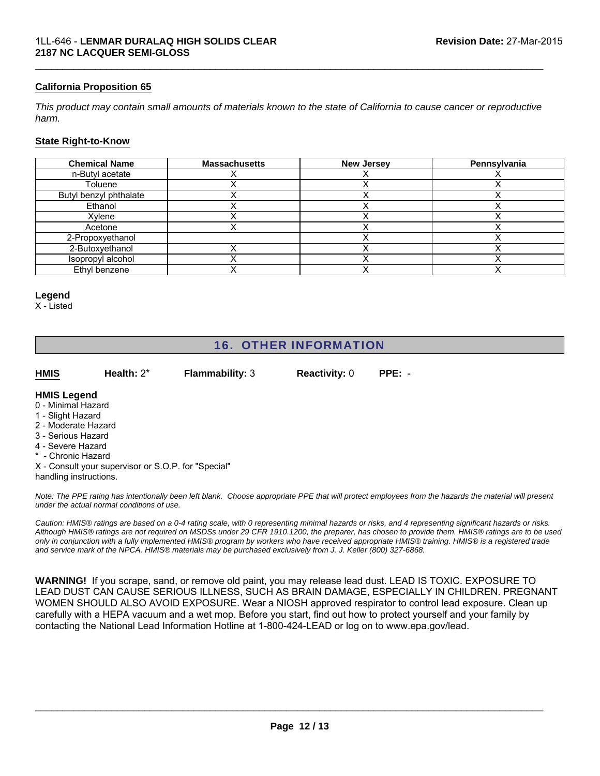#### **California Proposition 65**

*This product may contain small amounts of materials known to the state of California to cause cancer or reproductive harm.*

 $\mathcal{L}_\mathcal{L} = \{ \mathcal{L}_\mathcal{L} = \{ \mathcal{L}_\mathcal{L} = \{ \mathcal{L}_\mathcal{L} = \{ \mathcal{L}_\mathcal{L} = \{ \mathcal{L}_\mathcal{L} = \{ \mathcal{L}_\mathcal{L} = \{ \mathcal{L}_\mathcal{L} = \{ \mathcal{L}_\mathcal{L} = \{ \mathcal{L}_\mathcal{L} = \{ \mathcal{L}_\mathcal{L} = \{ \mathcal{L}_\mathcal{L} = \{ \mathcal{L}_\mathcal{L} = \{ \mathcal{L}_\mathcal{L} = \{ \mathcal{L}_\mathcal{$ 

#### **State Right-to-Know**

| <b>Chemical Name</b>   | <b>Massachusetts</b> | <b>New Jersey</b> | Pennsylvania |
|------------------------|----------------------|-------------------|--------------|
| n-Butyl acetate        |                      |                   |              |
| Toluene                |                      |                   |              |
| Butyl benzyl phthalate |                      |                   |              |
| Ethanol                |                      |                   |              |
| Xylene                 |                      |                   |              |
| Acetone                |                      |                   |              |
| 2-Propoxyethanol       |                      |                   |              |
| 2-Butoxyethanol        |                      |                   |              |
| Isopropyl alcohol      |                      |                   |              |
| Ethyl benzene          |                      |                   |              |

#### **Legend**

X - Listed

# 16. OTHER INFORMATION

**HMIS PPE:** - **Flammability:** 3 **Reactivity:** 0

#### **HMIS Legend**

- 0 Minimal Hazard
- 1 Slight Hazard
- 2 Moderate Hazard
- 3 Serious Hazard
- 4 Severe Hazard
- Chronic Hazard

X - Consult your supervisor or S.O.P. for "Special" handling instructions.

**Health:** 2\*

*Note: The PPE rating has intentionally been left blank. Choose appropriate PPE that will protect employees from the hazards the material will present under the actual normal conditions of use.*

*Caution: HMIS® ratings are based on a 0-4 rating scale, with 0 representing minimal hazards or risks, and 4 representing significant hazards or risks. Although HMIS® ratings are not required on MSDSs under 29 CFR 1910.1200, the preparer, has chosen to provide them. HMIS® ratings are to be used only in conjunction with a fully implemented HMIS® program by workers who have received appropriate HMIS® training. HMIS® is a registered trade and service mark of the NPCA. HMIS® materials may be purchased exclusively from J. J. Keller (800) 327-6868.*

**WARNING!** If you scrape, sand, or remove old paint, you may release lead dust. LEAD IS TOXIC. EXPOSURE TO LEAD DUST CAN CAUSE SERIOUS ILLNESS, SUCH AS BRAIN DAMAGE, ESPECIALLY IN CHILDREN. PREGNANT WOMEN SHOULD ALSO AVOID EXPOSURE. Wear a NIOSH approved respirator to control lead exposure. Clean up carefully with a HEPA vacuum and a wet mop. Before you start, find out how to protect yourself and your family by contacting the National Lead Information Hotline at 1-800-424-LEAD or log on to www.epa.gov/lead.